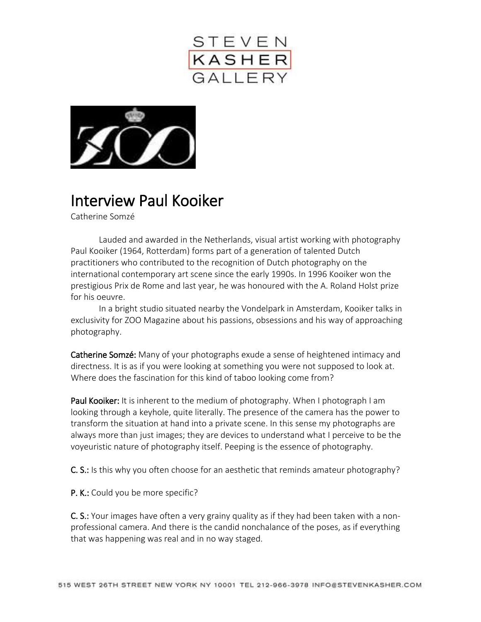



## Interview Paul Kooiker

Catherine Somzé

Lauded and awarded in the Netherlands, visual artist working with photography Paul Kooiker (1964, Rotterdam) forms part of a generation of talented Dutch practitioners who contributed to the recognition of Dutch photography on the international contemporary art scene since the early 1990s. In 1996 Kooiker won the prestigious Prix de Rome and last year, he was honoured with the A. Roland Holst prize for his oeuvre.

In a bright studio situated nearby the Vondelpark in Amsterdam, Kooiker talks in exclusivity for ZOO Magazine about his passions, obsessions and his way of approaching photography.

Catherine Somzé: Many of your photographs exude a sense of heightened intimacy and directness. It is as if you were looking at something you were not supposed to look at. Where does the fascination for this kind of taboo looking come from?

Paul Kooiker: It is inherent to the medium of photography. When I photograph I am looking through a keyhole, quite literally. The presence of the camera has the power to transform the situation at hand into a private scene. In this sense my photographs are always more than just images; they are devices to understand what I perceive to be the voyeuristic nature of photography itself. Peeping is the essence of photography.

C. S.: Is this why you often choose for an aesthetic that reminds amateur photography?

P. K.: Could you be more specific?

C. S.: Your images have often a very grainy quality as if they had been taken with a nonprofessional camera. And there is the candid nonchalance of the poses, as if everything that was happening was real and in no way staged.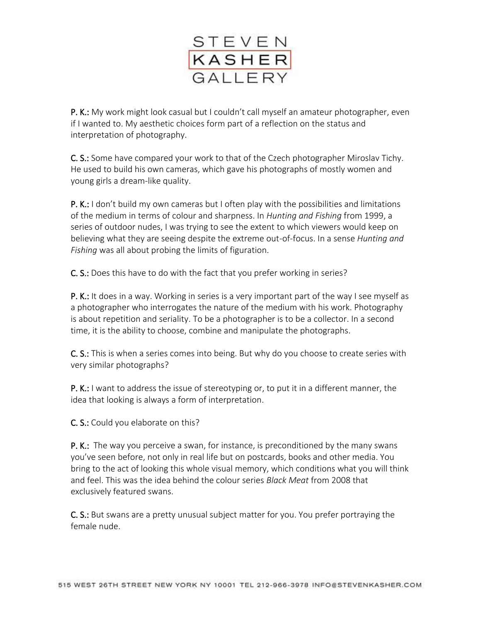

P. K.: My work might look casual but I couldn't call myself an amateur photographer, even if I wanted to. My aesthetic choices form part of a reflection on the status and interpretation of photography.

C. S.: Some have compared your work to that of the Czech photographer Miroslav Tichy. He used to build his own cameras, which gave his photographs of mostly women and young girls a dream-like quality.

**P. K.:** I don't build my own cameras but I often play with the possibilities and limitations of the medium in terms of colour and sharpness. In *Hunting and Fishing* from 1999, a series of outdoor nudes, I was trying to see the extent to which viewers would keep on believing what they are seeing despite the extreme out-of-focus. In a sense *Hunting and Fishing* was all about probing the limits of figuration.

C. S.: Does this have to do with the fact that you prefer working in series?

**P. K.:** It does in a way. Working in series is a very important part of the way I see myself as a photographer who interrogates the nature of the medium with his work. Photography is about repetition and seriality. To be a photographer is to be a collector. In a second time, it is the ability to choose, combine and manipulate the photographs.

C. S.: This is when a series comes into being. But why do you choose to create series with very similar photographs?

P. K.: I want to address the issue of stereotyping or, to put it in a different manner, the idea that looking is always a form of interpretation.

C. S.: Could you elaborate on this?

**P. K.:** The way you perceive a swan, for instance, is preconditioned by the many swans you've seen before, not only in real life but on postcards, books and other media. You bring to the act of looking this whole visual memory, which conditions what you will think and feel. This was the idea behind the colour series *Black Meat* from 2008 that exclusively featured swans.

C. S.: But swans are a pretty unusual subject matter for you. You prefer portraying the female nude.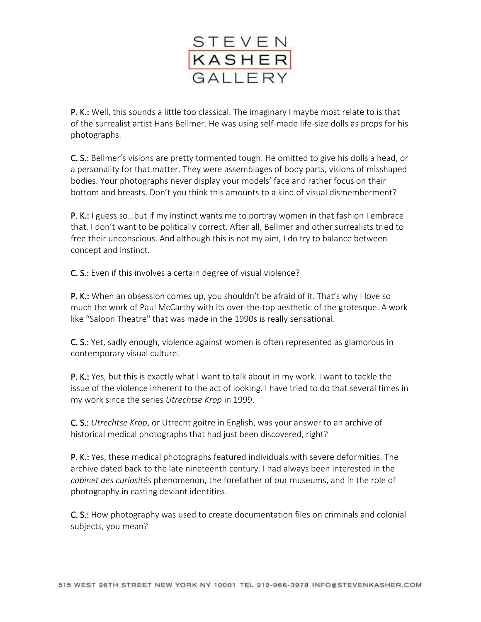

P. K.: Well, this sounds a little too classical. The imaginary I maybe most relate to is that of the surrealist artist Hans Bellmer. He was using self-made life-size dolls as props for his photographs.

C. S.: Bellmer's visions are pretty tormented tough. He omitted to give his dolls a head, or a personality for that matter. They were assemblages of body parts, visions of misshaped bodies. Your photographs never display your models' face and rather focus on their bottom and breasts. Don't you think this amounts to a kind of visual dismemberment?

P. K.: I guess so...but if my instinct wants me to portray women in that fashion I embrace that. I don't want to be politically correct. After all, Bellmer and other surrealists tried to free their unconscious. And although this is not my aim, I do try to balance between concept and instinct.

C. S.: Even if this involves a certain degree of visual violence?

**P. K.:** When an obsession comes up, you shouldn't be afraid of it. That's why I love so much the work of Paul McCarthy with its over-the-top aesthetic of the grotesque. A work like "Saloon Theatre" that was made in the 1990s is really sensational.

C. S.: Yet, sadly enough, violence against women is often represented as glamorous in contemporary visual culture.

P. K.: Yes, but this is exactly what I want to talk about in my work. I want to tackle the issue of the violence inherent to the act of looking. I have tried to do that several times in my work since the series *Utrechtse Krop* in 1999.

C. S.: *Utrechtse Krop*, or Utrecht goitre in English, was your answer to an archive of historical medical photographs that had just been discovered, right?

P. K.: Yes, these medical photographs featured individuals with severe deformities. The archive dated back to the late nineteenth century. I had always been interested in the *cabinet des curiosités* phenomenon, the forefather of our museums, and in the role of photography in casting deviant identities.

C. S.: How photography was used to create documentation files on criminals and colonial subjects, you mean?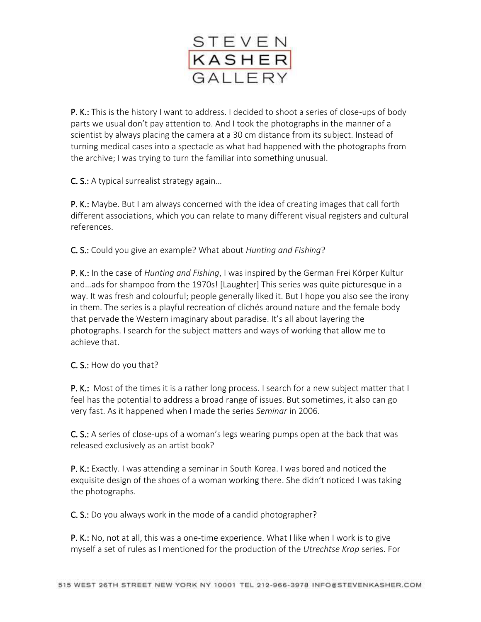

P. K.: This is the history I want to address. I decided to shoot a series of close-ups of body parts we usual don't pay attention to. And I took the photographs in the manner of a scientist by always placing the camera at a 30 cm distance from its subject. Instead of turning medical cases into a spectacle as what had happened with the photographs from the archive; I was trying to turn the familiar into something unusual.

C. S.: A typical surrealist strategy again…

**P. K.:** Maybe. But I am always concerned with the idea of creating images that call forth different associations, which you can relate to many different visual registers and cultural references.

C. S.: Could you give an example? What about *Hunting and Fishing*?

P. K.: In the case of *Hunting and Fishing*, I was inspired by the German Frei Körper Kultur and…ads for shampoo from the 1970s! [Laughter] This series was quite picturesque in a way. It was fresh and colourful; people generally liked it. But I hope you also see the irony in them. The series is a playful recreation of clichés around nature and the female body that pervade the Western imaginary about paradise. It's all about layering the photographs. I search for the subject matters and ways of working that allow me to achieve that.

C. S.: How do you that?

P. K.: Most of the times it is a rather long process. I search for a new subject matter that I feel has the potential to address a broad range of issues. But sometimes, it also can go very fast. As it happened when I made the series *Seminar* in 2006.

C. S.: A series of close-ups of a woman's legs wearing pumps open at the back that was released exclusively as an artist book?

P. K.: Exactly. I was attending a seminar in South Korea. I was bored and noticed the exquisite design of the shoes of a woman working there. She didn't noticed I was taking the photographs.

C. S.: Do you always work in the mode of a candid photographer?

**P. K.:** No, not at all, this was a one-time experience. What I like when I work is to give myself a set of rules as I mentioned for the production of the *Utrechtse Krop* series. For